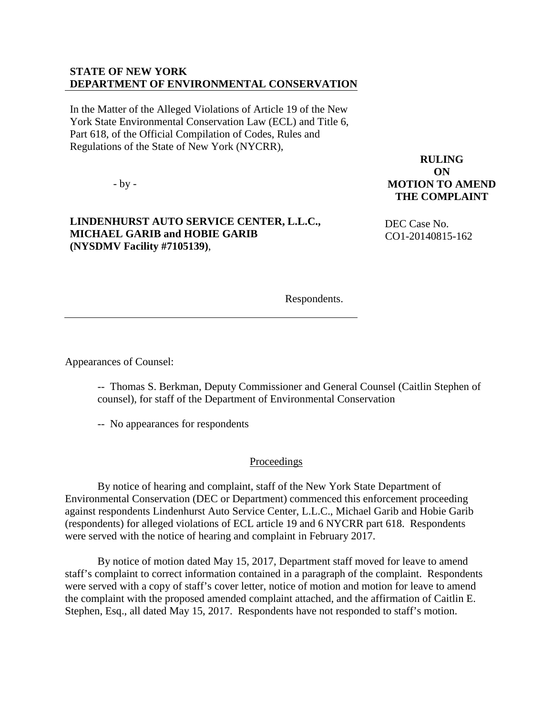## **STATE OF NEW YORK DEPARTMENT OF ENVIRONMENTAL CONSERVATION**

In the Matter of the Alleged Violations of Article 19 of the New York State Environmental Conservation Law (ECL) and Title 6, Part 618, of the Official Compilation of Codes, Rules and Regulations of the State of New York (NYCRR),

- by -

## **LINDENHURST AUTO SERVICE CENTER, L.L.C., MICHAEL GARIB and HOBIE GARIB (NYSDMV Facility #7105139)**,

**RULING ON MOTION TO AMEND THE COMPLAINT**

 DEC Case No. CO1-20140815-162

Respondents.

Appearances of Counsel:

-- Thomas S. Berkman, Deputy Commissioner and General Counsel (Caitlin Stephen of counsel), for staff of the Department of Environmental Conservation

-- No appearances for respondents

**Proceedings** 

By notice of hearing and complaint, staff of the New York State Department of Environmental Conservation (DEC or Department) commenced this enforcement proceeding against respondents Lindenhurst Auto Service Center, L.L.C., Michael Garib and Hobie Garib (respondents) for alleged violations of ECL article 19 and 6 NYCRR part 618. Respondents were served with the notice of hearing and complaint in February 2017.

By notice of motion dated May 15, 2017, Department staff moved for leave to amend staff's complaint to correct information contained in a paragraph of the complaint. Respondents were served with a copy of staff's cover letter, notice of motion and motion for leave to amend the complaint with the proposed amended complaint attached, and the affirmation of Caitlin E. Stephen, Esq., all dated May 15, 2017. Respondents have not responded to staff's motion.